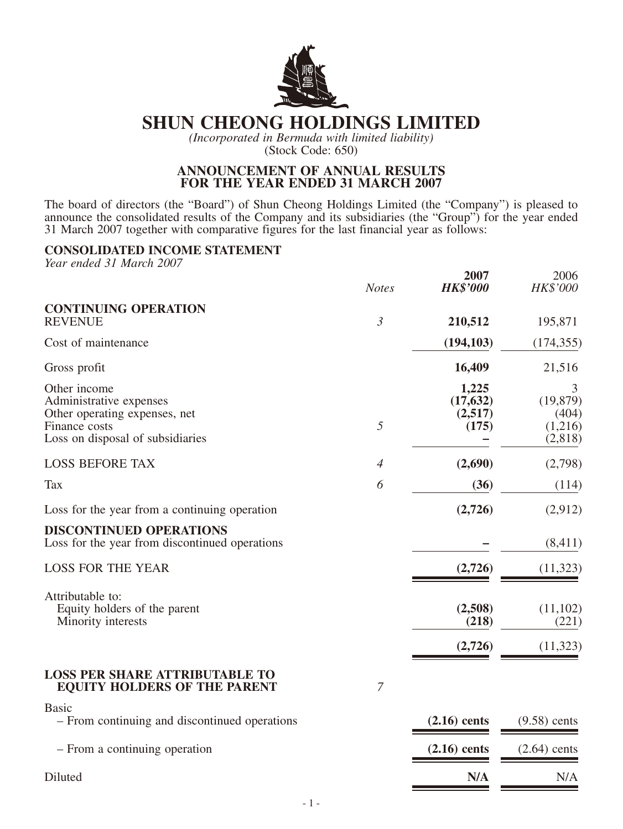

# **SHUN CHEONG HOLDINGS LIMITED**

*(Incorporated in Bermuda with limited liability)*

(Stock Code: 650)

#### **ANNOUNCEMENT OF ANNUAL RESULTS FOR THE YEAR ENDED 31 MARCH 2007**

The board of directors (the "Board") of Shun Cheong Holdings Limited (the "Company") is pleased to announce the consolidated results of the Company and its subsidiaries (the "Group") for the year ended 31 March 2007 together with comparative figures for the last financial year as follows:

#### **CONSOLIDATED INCOME STATEMENT**

*Year ended 31 March 2007*

|                                                                                                                               | <b>Notes</b>   | 2007<br><b>HK\$'000</b>                | 2006<br>HK\$'000                              |
|-------------------------------------------------------------------------------------------------------------------------------|----------------|----------------------------------------|-----------------------------------------------|
| <b>CONTINUING OPERATION</b><br><b>REVENUE</b>                                                                                 | $\mathfrak{Z}$ | 210,512                                | 195,871                                       |
| Cost of maintenance                                                                                                           |                | (194, 103)                             | (174, 355)                                    |
| Gross profit                                                                                                                  |                | 16,409                                 | 21,516                                        |
| Other income<br>Administrative expenses<br>Other operating expenses, net<br>Finance costs<br>Loss on disposal of subsidiaries | 5              | 1,225<br>(17, 632)<br>(2,517)<br>(175) | 3<br>(19, 879)<br>(404)<br>(1,216)<br>(2,818) |
| <b>LOSS BEFORE TAX</b>                                                                                                        | $\overline{4}$ | (2,690)                                | (2,798)                                       |
| <b>Tax</b>                                                                                                                    | 6              | (36)                                   | (114)                                         |
| Loss for the year from a continuing operation                                                                                 |                | (2,726)                                | (2,912)                                       |
| <b>DISCONTINUED OPERATIONS</b><br>Loss for the year from discontinued operations                                              |                |                                        | (8,411)                                       |
| <b>LOSS FOR THE YEAR</b>                                                                                                      |                | (2,726)                                | (11,323)                                      |
| Attributable to:<br>Equity holders of the parent<br>Minority interests                                                        |                | (2,508)<br>(218)<br>(2,726)            | (11,102)<br>(221)<br>(11, 323)                |
| <b>LOSS PER SHARE ATTRIBUTABLE TO</b><br><b>EQUITY HOLDERS OF THE PARENT</b>                                                  | $\overline{7}$ |                                        |                                               |
| <b>Basic</b><br>- From continuing and discontinued operations                                                                 |                | $(2.16)$ cents                         | $(9.58)$ cents                                |
| - From a continuing operation                                                                                                 |                | $(2.16)$ cents                         | $(2.64)$ cents                                |

Diluted **N/A** N/A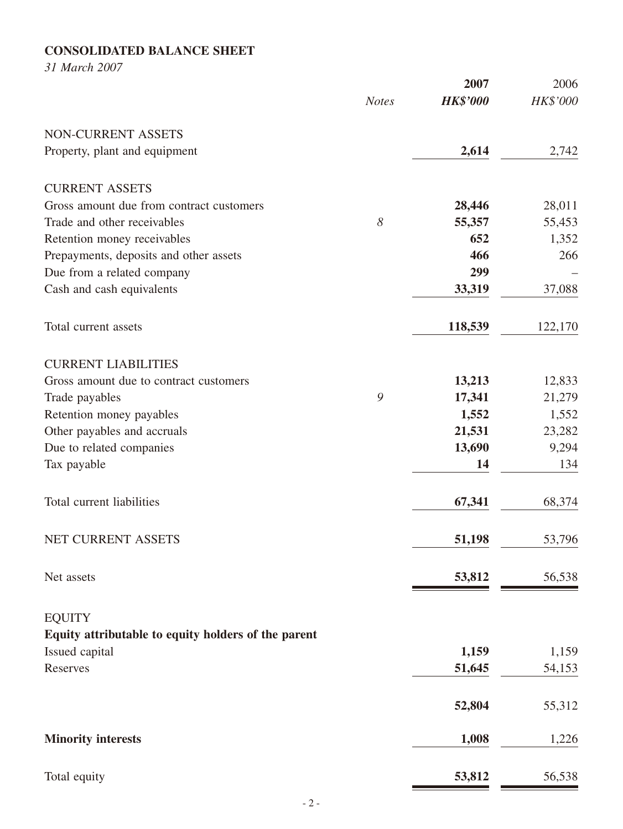# **CONSOLIDATED BALANCE SHEET**

*31 March 2007*

|                                                     |              | 2007            | 2006     |
|-----------------------------------------------------|--------------|-----------------|----------|
|                                                     | <b>Notes</b> | <b>HK\$'000</b> | HK\$'000 |
| NON-CURRENT ASSETS                                  |              |                 |          |
| Property, plant and equipment                       |              | 2,614           | 2,742    |
| <b>CURRENT ASSETS</b>                               |              |                 |          |
| Gross amount due from contract customers            |              | 28,446          | 28,011   |
| Trade and other receivables                         | 8            | 55,357          | 55,453   |
| Retention money receivables                         |              | 652             | 1,352    |
| Prepayments, deposits and other assets              |              | 466             | 266      |
| Due from a related company                          |              | 299             |          |
| Cash and cash equivalents                           |              | 33,319          | 37,088   |
| Total current assets                                |              | 118,539         | 122,170  |
| <b>CURRENT LIABILITIES</b>                          |              |                 |          |
| Gross amount due to contract customers              |              | 13,213          | 12,833   |
| Trade payables                                      | 9            | 17,341          | 21,279   |
| Retention money payables                            |              | 1,552           | 1,552    |
| Other payables and accruals                         |              | 21,531          | 23,282   |
| Due to related companies                            |              | 13,690          | 9,294    |
| Tax payable                                         |              | 14              | 134      |
| Total current liabilities                           |              | 67,341          | 68,374   |
| NET CURRENT ASSETS                                  |              | 51,198          | 53,796   |
| Net assets                                          |              | 53,812          | 56,538   |
| <b>EQUITY</b>                                       |              |                 |          |
| Equity attributable to equity holders of the parent |              |                 |          |
| Issued capital                                      |              | 1,159           | 1,159    |
| <b>Reserves</b>                                     |              | 51,645          | 54,153   |
|                                                     |              | 52,804          | 55,312   |
| <b>Minority interests</b>                           |              | 1,008           | 1,226    |
| Total equity                                        |              | 53,812          | 56,538   |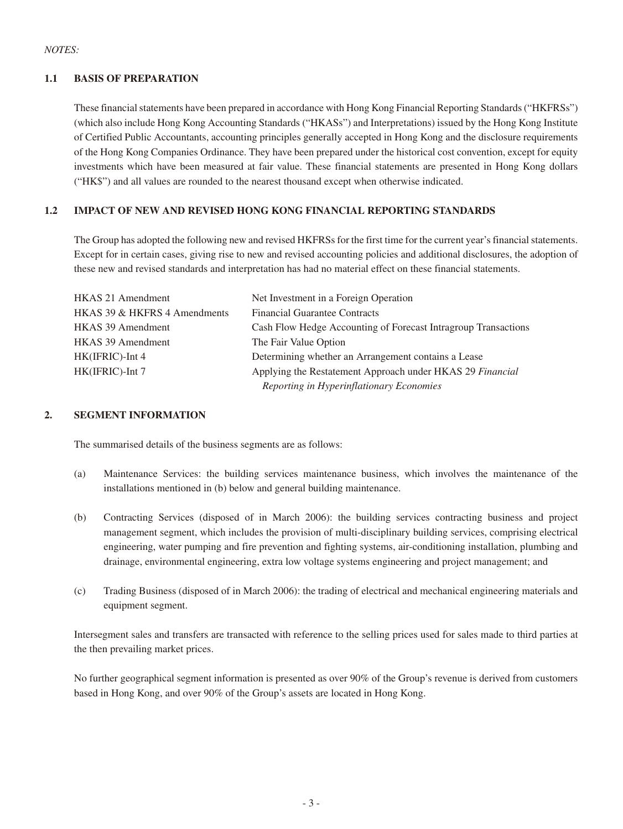#### **1.1 BASIS OF PREPARATION**

These financial statements have been prepared in accordance with Hong Kong Financial Reporting Standards ("HKFRSs") (which also include Hong Kong Accounting Standards ("HKASs") and Interpretations) issued by the Hong Kong Institute of Certified Public Accountants, accounting principles generally accepted in Hong Kong and the disclosure requirements of the Hong Kong Companies Ordinance. They have been prepared under the historical cost convention, except for equity investments which have been measured at fair value. These financial statements are presented in Hong Kong dollars ("HK\$") and all values are rounded to the nearest thousand except when otherwise indicated.

#### **1.2 IMPACT OF NEW AND REVISED HONG KONG FINANCIAL REPORTING STANDARDS**

The Group has adopted the following new and revised HKFRSs for the first time for the current year's financial statements. Except for in certain cases, giving rise to new and revised accounting policies and additional disclosures, the adoption of these new and revised standards and interpretation has had no material effect on these financial statements.

| <b>HKAS 21 Amendment</b>     | Net Investment in a Foreign Operation                          |
|------------------------------|----------------------------------------------------------------|
| HKAS 39 & HKFRS 4 Amendments | <b>Financial Guarantee Contracts</b>                           |
| <b>HKAS 39 Amendment</b>     | Cash Flow Hedge Accounting of Forecast Intragroup Transactions |
| <b>HKAS 39 Amendment</b>     | The Fair Value Option                                          |
| HK(IFRIC)-Int 4              | Determining whether an Arrangement contains a Lease            |
| HK(IFRIC)-Int 7              | Applying the Restatement Approach under HKAS 29 Financial      |
|                              | Reporting in Hyperinflationary Economies                       |

#### **2. SEGMENT INFORMATION**

The summarised details of the business segments are as follows:

- (a) Maintenance Services: the building services maintenance business, which involves the maintenance of the installations mentioned in (b) below and general building maintenance.
- (b) Contracting Services (disposed of in March 2006): the building services contracting business and project management segment, which includes the provision of multi-disciplinary building services, comprising electrical engineering, water pumping and fire prevention and fighting systems, air-conditioning installation, plumbing and drainage, environmental engineering, extra low voltage systems engineering and project management; and
- (c) Trading Business (disposed of in March 2006): the trading of electrical and mechanical engineering materials and equipment segment.

Intersegment sales and transfers are transacted with reference to the selling prices used for sales made to third parties at the then prevailing market prices.

No further geographical segment information is presented as over 90% of the Group's revenue is derived from customers based in Hong Kong, and over 90% of the Group's assets are located in Hong Kong.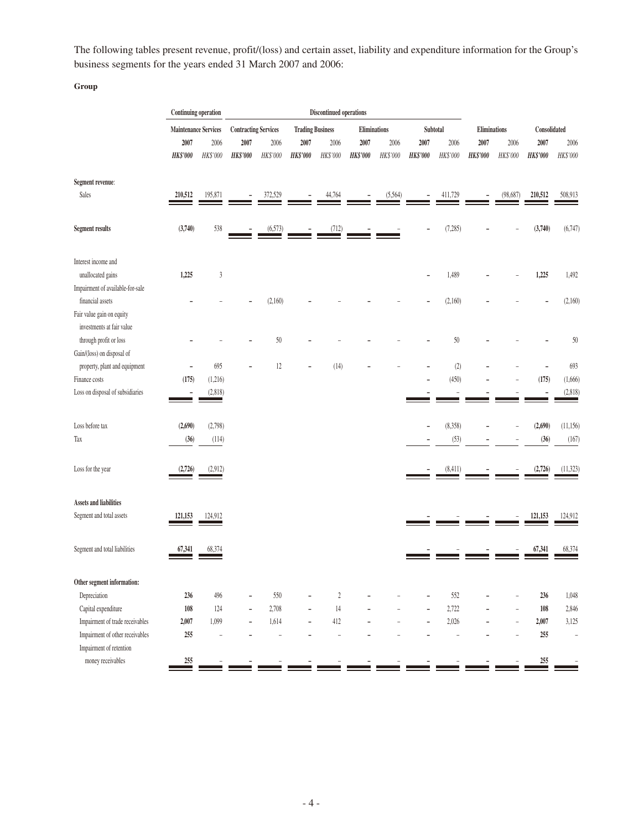The following tables present revenue, profit/(loss) and certain asset, liability and expenditure information for the Group's business segments for the years ended 31 March 2007 and 2006:

**Group**

|                                                             | <b>Continuing operation</b> |                          |                             |                |                          | <b>Discontinued operations</b> |                 |          |                 |                          |                 |                |                  |                          |
|-------------------------------------------------------------|-----------------------------|--------------------------|-----------------------------|----------------|--------------------------|--------------------------------|-----------------|----------|-----------------|--------------------------|-----------------|----------------|------------------|--------------------------|
|                                                             | Maintenance Services        |                          | <b>Contracting Services</b> |                | <b>Trading Business</b>  |                                | Eliminations    |          |                 | Subtotal                 |                 | Eliminations   |                  | Consolidated             |
|                                                             | 2007                        | 2006                     | 2007                        | 2006           | 2007                     | 2006                           | 2007            | 2006     | 2007            | 2006                     | 2007            | 2006           | 2007             | 2006                     |
|                                                             | <b>HK\$'000</b>             | HK\$'000                 | <b>HK\$'000</b>             | HK\$'000       | HK\$'000                 | HK\$'000                       | <b>HK\$'000</b> | HK\$'000 | <b>HK\$'000</b> | HK\$'000                 | <b>HK\$'000</b> | HK\$'000       | <b>HK\$'000</b>  | HK\$'000                 |
| Segment revenue:                                            |                             |                          |                             |                |                          |                                |                 |          |                 |                          |                 |                |                  |                          |
| Sales                                                       | 210,512                     | 195,871                  |                             | 372,529        |                          | 44,764                         |                 | (5,564)  |                 | 411,729                  |                 | (98, 687)      | 210,512          | 508,913                  |
| <b>Segment results</b>                                      | (3,740)                     | 538                      |                             | (6,573)        |                          | (712)                          |                 |          |                 | (7,285)                  |                 |                | (3,740)          | (6,747)                  |
| Interest income and                                         |                             |                          |                             |                |                          |                                |                 |          |                 |                          |                 |                |                  |                          |
| unallocated gains<br>Impairment of available-for-sale       | 1,225                       | $\mathfrak z$            |                             |                |                          |                                |                 |          |                 | 1,489                    |                 |                | 1,225            | 1,492                    |
| financial assets<br>Fair value gain on equity               |                             |                          |                             | (2,160)        |                          |                                |                 |          |                 | (2,160)                  |                 |                |                  | (2,160)                  |
| investments at fair value<br>through profit or loss         |                             |                          |                             | 50             |                          |                                |                 |          |                 | 50                       |                 |                |                  | 50                       |
| Gain/(loss) on disposal of<br>property, plant and equipment | ۰                           | 695                      |                             | 12             |                          | (14)                           |                 |          |                 | (2)                      |                 |                |                  | 693                      |
| Finance costs                                               | (175)                       | (1,216)                  |                             |                |                          |                                |                 |          |                 | (450)                    |                 |                | (175)            | (1,666)                  |
| Loss on disposal of subsidiaries                            |                             | (2,818)                  |                             |                |                          |                                |                 |          |                 |                          |                 |                |                  | (2,818)                  |
| Loss before tax                                             | (2,690)                     | (2,798)                  |                             |                |                          |                                |                 |          |                 | (8,358)                  |                 |                | (2,690)          | (11, 156)                |
| Tax                                                         | (36)                        | (114)                    |                             |                |                          |                                |                 |          |                 | (53)                     |                 |                | (36)             | (167)                    |
| Loss for the year                                           | (2,726)                     | (2,912)                  |                             |                |                          |                                |                 |          |                 | (8,411)                  |                 |                | (2,726)          | (11, 323)                |
| <b>Assets and liabilities</b>                               |                             |                          |                             |                |                          |                                |                 |          |                 |                          |                 |                |                  |                          |
| Segment and total assets                                    | 121,153                     | 124,912                  |                             |                |                          |                                |                 |          |                 |                          |                 |                | 121,153          | 124,912                  |
| Segment and total liabilities                               | 67,341                      | 68,374                   |                             |                |                          |                                |                 |          |                 |                          |                 |                | 67,341           | 68,374                   |
| Other segment information:                                  |                             |                          |                             |                |                          |                                |                 |          |                 |                          |                 |                |                  |                          |
| Depreciation                                                | 236                         | 496                      |                             | 550            |                          | $\boldsymbol{2}$               |                 |          |                 | 552                      |                 |                | 236              | 1,048                    |
| Capital expenditure                                         | 108                         | 124                      |                             | 2,708          |                          | 14                             |                 |          |                 | 2,722                    |                 |                | 108              | 2,846                    |
| Impairment of trade receivables                             | 2,007                       | 1,099                    | ÷,                          | 1,614          | $\overline{\phantom{m}}$ | 412                            |                 |          |                 | 2,026                    | $\overline{a}$  | $\overline{a}$ | 2,007            | 3,125                    |
| Impairment of other receivables                             | 255                         | $\overline{\phantom{a}}$ |                             | $\overline{a}$ |                          | $\bar{ }$                      |                 |          |                 | $\overline{\phantom{a}}$ |                 |                | 255              | $\overline{\phantom{a}}$ |
| Impairment of retention                                     |                             |                          |                             |                |                          |                                |                 |          |                 |                          |                 |                |                  |                          |
| money receivables                                           | 255                         |                          |                             |                |                          |                                |                 |          |                 |                          |                 |                | $\frac{255}{25}$ |                          |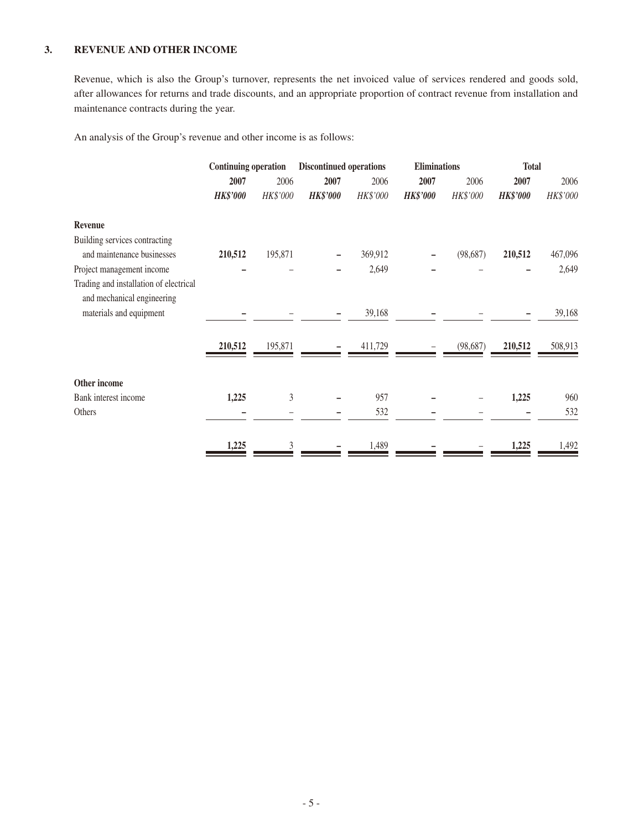#### **3. REVENUE AND OTHER INCOME**

Revenue, which is also the Group's turnover, represents the net invoiced value of services rendered and goods sold, after allowances for returns and trade discounts, and an appropriate proportion of contract revenue from installation and maintenance contracts during the year.

An analysis of the Group's revenue and other income is as follows:

|                                                                      | <b>Continuing operation</b> |                  | <b>Discontinued operations</b> |                  | <b>Eliminations</b>     |                  | <b>Total</b>            |                  |
|----------------------------------------------------------------------|-----------------------------|------------------|--------------------------------|------------------|-------------------------|------------------|-------------------------|------------------|
|                                                                      | 2007<br><b>HK\$'000</b>     | 2006<br>HK\$'000 | 2007<br><b>HK\$'000</b>        | 2006<br>HK\$'000 | 2007<br><b>HK\$'000</b> | 2006<br>HK\$'000 | 2007<br><b>HK\$'000</b> | 2006<br>HK\$'000 |
| Revenue                                                              |                             |                  |                                |                  |                         |                  |                         |                  |
| Building services contracting<br>and maintenance businesses          | 210,512                     | 195,871          |                                | 369,912          |                         | (98, 687)        | 210,512                 | 467,096          |
| Project management income                                            |                             |                  |                                | 2,649            |                         |                  |                         | 2,649            |
| Trading and installation of electrical<br>and mechanical engineering |                             |                  |                                |                  |                         |                  |                         |                  |
| materials and equipment                                              |                             |                  |                                | 39,168           |                         |                  |                         | 39,168           |
|                                                                      | 210,512                     | 195,871          |                                | 411,729          |                         | (98, 687)        | 210,512                 | 508,913          |
| Other income                                                         |                             |                  |                                |                  |                         |                  |                         |                  |
| Bank interest income                                                 | 1,225                       | 3                |                                | 957              |                         |                  | 1,225                   | 960              |
| Others                                                               |                             |                  |                                | 532              |                         |                  |                         | 532              |
|                                                                      | 1,225                       | 3                |                                | 1,489            |                         |                  | 1,225                   | 1,492            |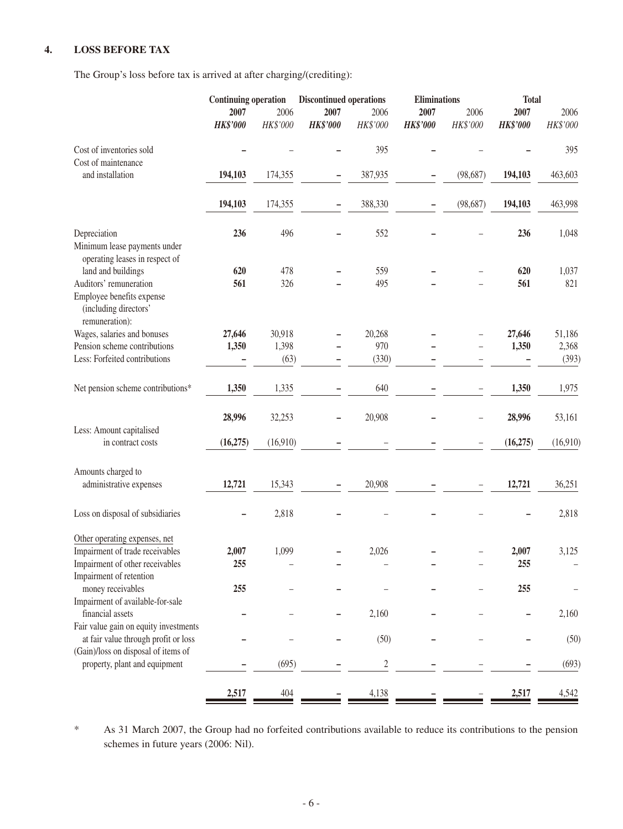#### **4. LOSS BEFORE TAX**

The Group's loss before tax is arrived at after charging/(crediting):

|                 |              |                                             |                           | <b>Eliminations</b>                                             |           | <b>Total</b>    |              |
|-----------------|--------------|---------------------------------------------|---------------------------|-----------------------------------------------------------------|-----------|-----------------|--------------|
| 2007            | 2006         | 2007                                        | 2006                      | 2007                                                            | 2006      | 2007            | 2006         |
| <b>HK\$'000</b> | HK\$'000     | <b>HK\$'000</b>                             | HK\$'000                  | <b>HK\$'000</b>                                                 | HK\$'000  | <b>HK\$'000</b> | HK\$'000     |
|                 |              |                                             | 395                       |                                                                 |           |                 | 395          |
| 194,103         | 174,355      |                                             | 387,935                   |                                                                 | (98, 687) | 194,103         | 463,603      |
| 194,103         | 174,355      |                                             | 388,330                   |                                                                 | (98, 687) | 194,103         | 463,998      |
| 236             | 496          |                                             | 552                       |                                                                 |           | 236             | 1,048        |
| 620             | 478          |                                             | 559                       |                                                                 |           | 620             | 1,037        |
|                 |              |                                             |                           |                                                                 |           |                 | 821          |
|                 |              |                                             |                           |                                                                 |           |                 |              |
| 27,646          | 30,918       |                                             | 20,268                    |                                                                 |           | 27,646          | 51,186       |
| 1,350           | 1,398        |                                             | 970                       |                                                                 |           | 1,350           | 2,368        |
|                 |              |                                             | (330)                     |                                                                 |           |                 | (393)        |
| 1,350           | 1,335        |                                             | 640                       |                                                                 |           | 1,350           | 1,975        |
| 28,996          | 32,253       |                                             | 20,908                    |                                                                 |           | 28,996          | 53,161       |
| (16, 275)       |              |                                             |                           |                                                                 |           | (16, 275)       | (16,910)     |
|                 |              |                                             |                           |                                                                 |           |                 |              |
| 12,721          | 15,343       |                                             | 20,908                    |                                                                 |           | 12,721          | 36,251       |
|                 | 2,818        |                                             |                           |                                                                 |           |                 | 2,818        |
|                 |              |                                             |                           |                                                                 |           |                 |              |
|                 |              |                                             |                           |                                                                 |           |                 | 3,125        |
| 255             |              |                                             |                           |                                                                 |           | 255             |              |
| 255             |              |                                             |                           |                                                                 |           | 255             |              |
|                 |              |                                             |                           |                                                                 |           |                 | 2,160        |
|                 |              |                                             |                           |                                                                 |           |                 |              |
|                 |              |                                             |                           |                                                                 |           |                 | (50)         |
|                 |              |                                             |                           |                                                                 |           |                 |              |
|                 |              |                                             | $\sqrt{2}$                |                                                                 |           |                 | (693)        |
| 2,517           | 404          |                                             | 4,138                     |                                                                 |           | 2,517           | 4,542        |
|                 | 561<br>2,007 | <b>Continuing operation</b><br>326<br>1,099 | (63)<br>(16,910)<br>(695) | <b>Discontinued operations</b><br>495<br>2,026<br>2,160<br>(50) |           |                 | 561<br>2,007 |

\* As 31 March 2007, the Group had no forfeited contributions available to reduce its contributions to the pension schemes in future years (2006: Nil).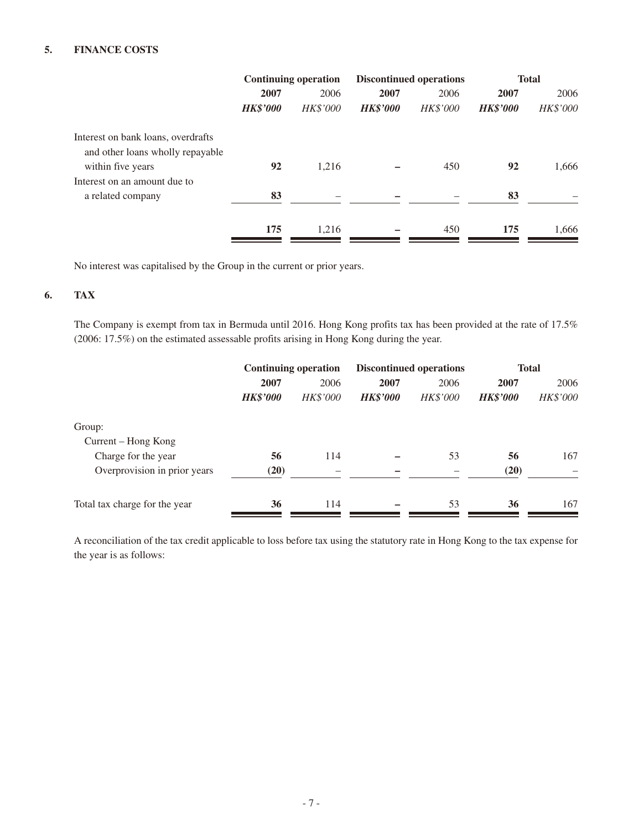#### **5. FINANCE COSTS**

|                                                       | <b>Continuing operation</b> |                 |                 | <b>Discontinued operations</b> | <b>Total</b>    |          |  |
|-------------------------------------------------------|-----------------------------|-----------------|-----------------|--------------------------------|-----------------|----------|--|
|                                                       | 2007                        | 2006            | 2007            | 2006                           | 2007            | 2006     |  |
|                                                       | <b>HK\$'000</b>             | <b>HK\$'000</b> | <b>HK\$'000</b> | <b>HK\$'000</b>                | <b>HK\$'000</b> | HK\$'000 |  |
| Interest on bank loans, overdrafts                    |                             |                 |                 |                                |                 |          |  |
| and other loans wholly repayable<br>within five years | 92                          | 1,216           |                 | 450                            | 92              | 1,666    |  |
| Interest on an amount due to                          |                             |                 |                 |                                |                 |          |  |
| a related company                                     | 83                          |                 |                 |                                | 83              |          |  |
|                                                       | 175                         | 1,216           |                 | 450                            | 175             | 1,666    |  |

No interest was capitalised by the Group in the current or prior years.

#### **6. TAX**

The Company is exempt from tax in Bermuda until 2016. Hong Kong profits tax has been provided at the rate of 17.5% (2006: 17.5%) on the estimated assessable profits arising in Hong Kong during the year.

|                               | <b>Continuing operation</b> |          |                 | <b>Discontinued operations</b> | <b>Total</b>    |          |  |
|-------------------------------|-----------------------------|----------|-----------------|--------------------------------|-----------------|----------|--|
|                               | 2007                        | 2006     | 2007            | 2006                           | 2007            | 2006     |  |
|                               | <b>HK\$'000</b>             | HK\$'000 | <b>HK\$'000</b> | HK\$'000                       | <b>HK\$'000</b> | HK\$'000 |  |
| Group:                        |                             |          |                 |                                |                 |          |  |
| Current – Hong Kong           |                             |          |                 |                                |                 |          |  |
| Charge for the year           | 56                          | 114      |                 | 53                             | 56              | 167      |  |
| Overprovision in prior years  | (20)                        |          |                 |                                | (20)            |          |  |
| Total tax charge for the year | 36                          | 114      |                 | 53                             | 36              | 167      |  |

A reconciliation of the tax credit applicable to loss before tax using the statutory rate in Hong Kong to the tax expense for the year is as follows: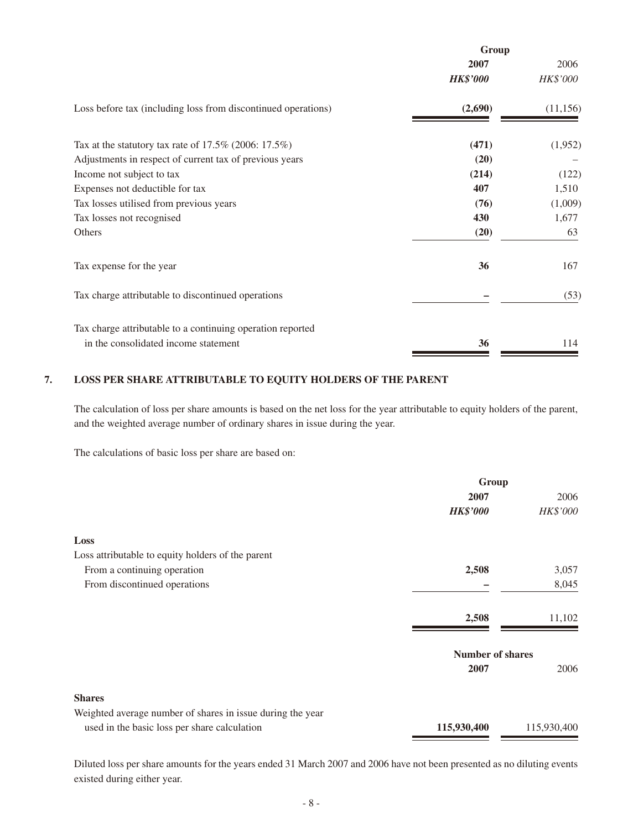|                                                               | Group           |           |  |
|---------------------------------------------------------------|-----------------|-----------|--|
|                                                               | 2007            | 2006      |  |
|                                                               | <b>HK\$'000</b> | HK\$'000  |  |
| Loss before tax (including loss from discontinued operations) | (2,690)         | (11, 156) |  |
| Tax at the statutory tax rate of $17.5\%$ (2006: $17.5\%$ )   | (471)           | (1,952)   |  |
| Adjustments in respect of current tax of previous years       | (20)            |           |  |
| Income not subject to tax                                     | (214)           | (122)     |  |
| Expenses not deductible for tax                               | 407             | 1,510     |  |
| Tax losses utilised from previous years                       | (76)            | (1,009)   |  |
| Tax losses not recognised                                     | 430             | 1,677     |  |
| Others                                                        | (20)            | 63        |  |
| Tax expense for the year                                      | 36              | 167       |  |
| Tax charge attributable to discontinued operations            |                 | (53)      |  |
| Tax charge attributable to a continuing operation reported    |                 |           |  |
| in the consolidated income statement                          | 36              | 114       |  |

#### **7. LOSS PER SHARE ATTRIBUTABLE TO EQUITY HOLDERS OF THE PARENT**

The calculation of loss per share amounts is based on the net loss for the year attributable to equity holders of the parent, and the weighted average number of ordinary shares in issue during the year.

The calculations of basic loss per share are based on:

|                                                            | Group                   |             |  |
|------------------------------------------------------------|-------------------------|-------------|--|
|                                                            | 2007                    | 2006        |  |
|                                                            | <b>HK\$'000</b>         | HK\$'000    |  |
| Loss                                                       |                         |             |  |
| Loss attributable to equity holders of the parent          |                         |             |  |
| From a continuing operation                                | 2,508                   | 3,057       |  |
| From discontinued operations                               |                         | 8,045       |  |
|                                                            | 2,508                   | 11,102      |  |
|                                                            | <b>Number of shares</b> |             |  |
|                                                            | 2007                    | 2006        |  |
| <b>Shares</b>                                              |                         |             |  |
| Weighted average number of shares in issue during the year |                         |             |  |
| used in the basic loss per share calculation               | 115,930,400             | 115,930,400 |  |

Diluted loss per share amounts for the years ended 31 March 2007 and 2006 have not been presented as no diluting events existed during either year.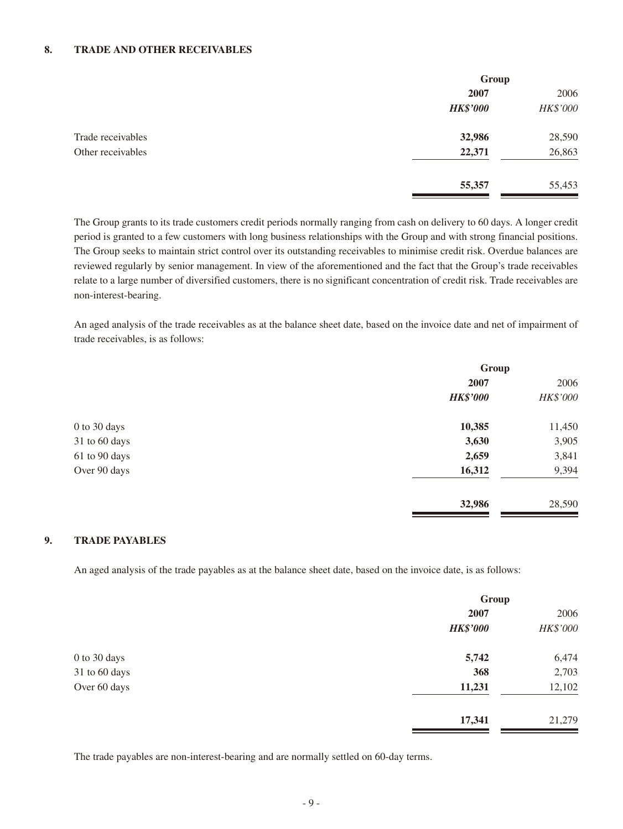#### **8. TRADE AND OTHER RECEIVABLES**

|                   | Group           |          |
|-------------------|-----------------|----------|
|                   | 2007            | 2006     |
|                   | <b>HK\$'000</b> | HK\$'000 |
| Trade receivables | 32,986          | 28,590   |
| Other receivables | 22,371          | 26,863   |
|                   | 55,357          | 55,453   |

The Group grants to its trade customers credit periods normally ranging from cash on delivery to 60 days. A longer credit period is granted to a few customers with long business relationships with the Group and with strong financial positions. The Group seeks to maintain strict control over its outstanding receivables to minimise credit risk. Overdue balances are reviewed regularly by senior management. In view of the aforementioned and the fact that the Group's trade receivables relate to a large number of diversified customers, there is no significant concentration of credit risk. Trade receivables are non-interest-bearing.

An aged analysis of the trade receivables as at the balance sheet date, based on the invoice date and net of impairment of trade receivables, is as follows:

|               | Group           |          |
|---------------|-----------------|----------|
|               | 2007            | 2006     |
|               | <b>HK\$'000</b> | HK\$'000 |
| 0 to 30 days  | 10,385          | 11,450   |
| 31 to 60 days | 3,630           | 3,905    |
| 61 to 90 days | 2,659           | 3,841    |
| Over 90 days  | 16,312          | 9,394    |
|               | 32,986          | 28,590   |

#### **9. TRADE PAYABLES**

An aged analysis of the trade payables as at the balance sheet date, based on the invoice date, is as follows:

|               | Group           |          |
|---------------|-----------------|----------|
|               | 2007            | 2006     |
|               | <b>HK\$'000</b> | HK\$'000 |
| 0 to 30 days  | 5,742           | 6,474    |
| 31 to 60 days | 368             | 2,703    |
| Over 60 days  | 11,231          | 12,102   |
|               | 17,341          | 21,279   |

The trade payables are non-interest-bearing and are normally settled on 60-day terms.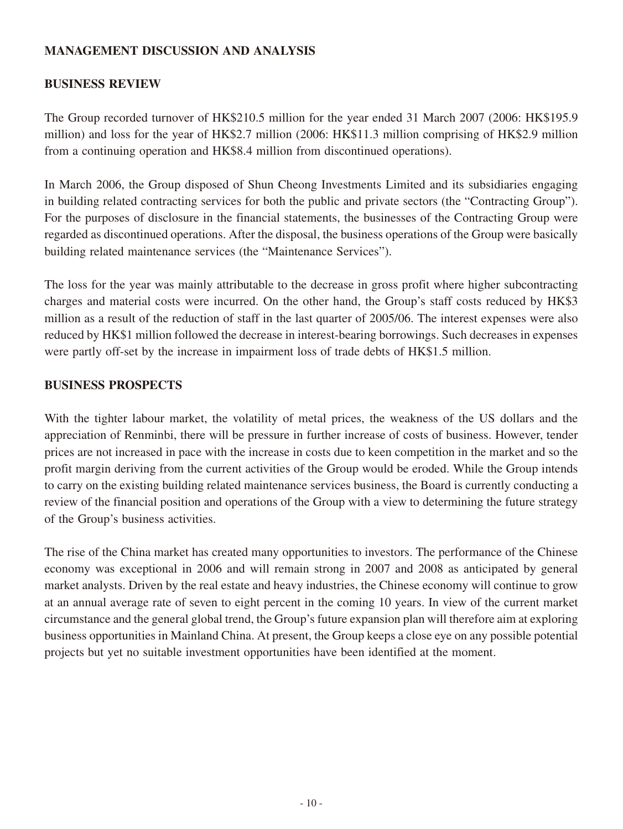### **MANAGEMENT DISCUSSION AND ANALYSIS**

### **BUSINESS REVIEW**

The Group recorded turnover of HK\$210.5 million for the year ended 31 March 2007 (2006: HK\$195.9 million) and loss for the year of HK\$2.7 million (2006: HK\$11.3 million comprising of HK\$2.9 million from a continuing operation and HK\$8.4 million from discontinued operations).

In March 2006, the Group disposed of Shun Cheong Investments Limited and its subsidiaries engaging in building related contracting services for both the public and private sectors (the "Contracting Group"). For the purposes of disclosure in the financial statements, the businesses of the Contracting Group were regarded as discontinued operations. After the disposal, the business operations of the Group were basically building related maintenance services (the "Maintenance Services").

The loss for the year was mainly attributable to the decrease in gross profit where higher subcontracting charges and material costs were incurred. On the other hand, the Group's staff costs reduced by HK\$3 million as a result of the reduction of staff in the last quarter of 2005/06. The interest expenses were also reduced by HK\$1 million followed the decrease in interest-bearing borrowings. Such decreases in expenses were partly off-set by the increase in impairment loss of trade debts of HK\$1.5 million.

### **business prospects**

With the tighter labour market, the volatility of metal prices, the weakness of the US dollars and the appreciation of Renminbi, there will be pressure in further increase of costs of business. However, tender prices are not increased in pace with the increase in costs due to keen competition in the market and so the profit margin deriving from the current activities of the Group would be eroded. While the Group intends to carry on the existing building related maintenance services business, the Board is currently conducting a review of the financial position and operations of the Group with a view to determining the future strategy of the Group's business activities.

The rise of the China market has created many opportunities to investors. The performance of the Chinese economy was exceptional in 2006 and will remain strong in 2007 and 2008 as anticipated by general market analysts. Driven by the real estate and heavy industries, the Chinese economy will continue to grow at an annual average rate of seven to eight percent in the coming 10 years. In view of the current market circumstance and the general global trend, the Group's future expansion plan will therefore aim at exploring business opportunities in Mainland China. At present, the Group keeps a close eye on any possible potential projects but yet no suitable investment opportunities have been identified at the moment.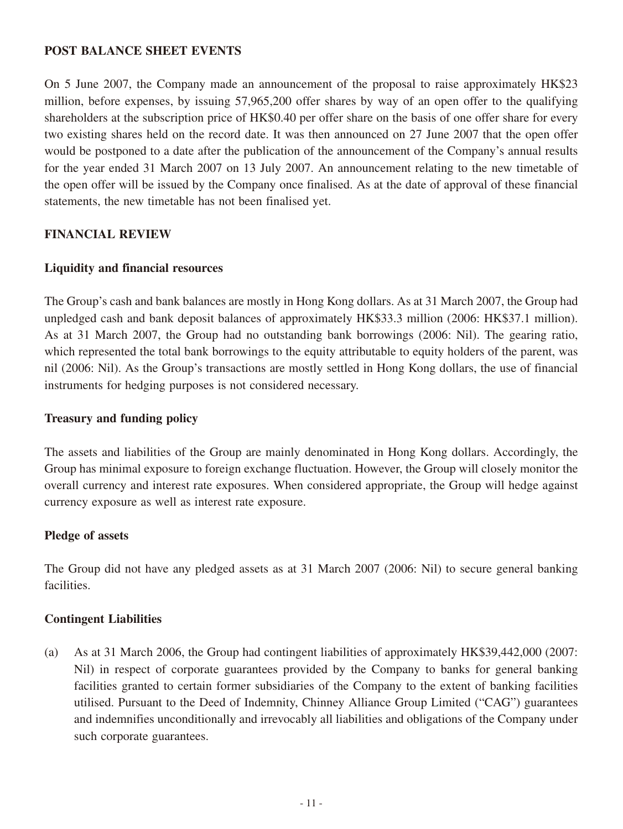### **Post balance sheet events**

On 5 June 2007, the Company made an announcement of the proposal to raise approximately HK\$23 million, before expenses, by issuing 57,965,200 offer shares by way of an open offer to the qualifying shareholders at the subscription price of HK\$0.40 per offer share on the basis of one offer share for every two existing shares held on the record date. It was then announced on 27 June 2007 that the open offer would be postponed to a date after the publication of the announcement of the Company's annual results for the year ended 31 March 2007 on 13 July 2007. An announcement relating to the new timetable of the open offer will be issued by the Company once finalised. As at the date of approval of these financial statements, the new timetable has not been finalised yet.

### **FINANCIAL REVIEW**

#### **Liquidity and financial resources**

The Group's cash and bank balances are mostly in Hong Kong dollars. As at 31 March 2007, the Group had unpledged cash and bank deposit balances of approximately HK\$33.3 million (2006: HK\$37.1 million). As at 31 March 2007, the Group had no outstanding bank borrowings (2006: Nil). The gearing ratio, which represented the total bank borrowings to the equity attributable to equity holders of the parent, was nil (2006: Nil). As the Group's transactions are mostly settled in Hong Kong dollars, the use of financial instruments for hedging purposes is not considered necessary.

#### **Treasury and funding policy**

The assets and liabilities of the Group are mainly denominated in Hong Kong dollars. Accordingly, the Group has minimal exposure to foreign exchange fluctuation. However, the Group will closely monitor the overall currency and interest rate exposures. When considered appropriate, the Group will hedge against currency exposure as well as interest rate exposure.

#### **Pledge of assets**

The Group did not have any pledged assets as at 31 March 2007 (2006: Nil) to secure general banking facilities.

#### **Contingent Liabilities**

(a) As at 31 March 2006, the Group had contingent liabilities of approximately HK\$39,442,000 (2007: Nil) in respect of corporate guarantees provided by the Company to banks for general banking facilities granted to certain former subsidiaries of the Company to the extent of banking facilities utilised. Pursuant to the Deed of Indemnity, Chinney Alliance Group Limited ("CAG") guarantees and indemnifies unconditionally and irrevocably all liabilities and obligations of the Company under such corporate guarantees.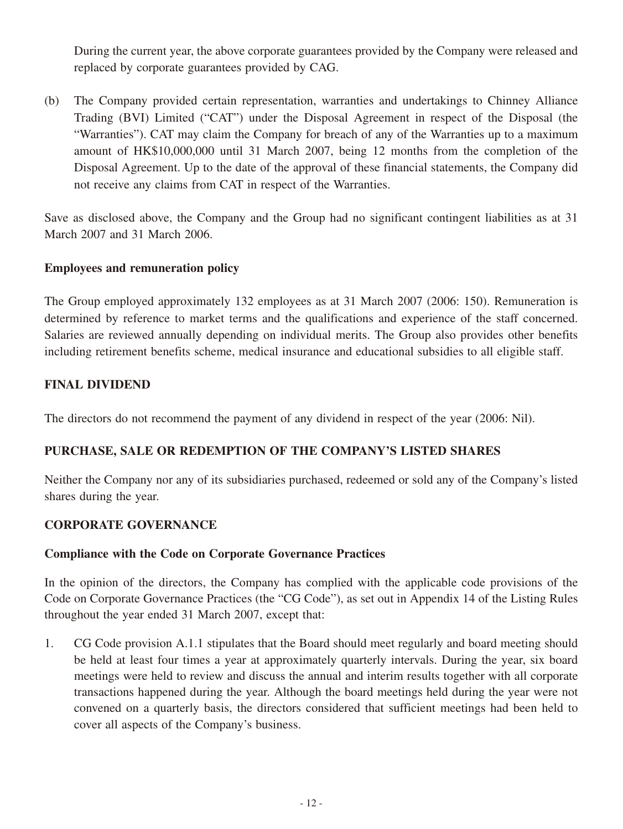During the current year, the above corporate guarantees provided by the Company were released and replaced by corporate guarantees provided by CAG.

(b) The Company provided certain representation, warranties and undertakings to Chinney Alliance Trading (BVI) Limited ("CAT") under the Disposal Agreement in respect of the Disposal (the "Warranties"). CAT may claim the Company for breach of any of the Warranties up to a maximum amount of HK\$10,000,000 until 31 March 2007, being 12 months from the completion of the Disposal Agreement. Up to the date of the approval of these financial statements, the Company did not receive any claims from CAT in respect of the Warranties.

Save as disclosed above, the Company and the Group had no significant contingent liabilities as at 31 March 2007 and 31 March 2006.

### **Employees and remuneration policy**

The Group employed approximately 132 employees as at 31 March 2007 (2006: 150). Remuneration is determined by reference to market terms and the qualifications and experience of the staff concerned. Salaries are reviewed annually depending on individual merits. The Group also provides other benefits including retirement benefits scheme, medical insurance and educational subsidies to all eligible staff.

# **FINAL DIVIDEND**

The directors do not recommend the payment of any dividend in respect of the year (2006: Nil).

# **Purchase, sale or redemption of the Company's listed shares**

Neither the Company nor any of its subsidiaries purchased, redeemed or sold any of the Company's listed shares during the year.

### **CORPORATE GOVERNANCE**

### **Compliance with the Code on Corporate Governance Practices**

In the opinion of the directors, the Company has complied with the applicable code provisions of the Code on Corporate Governance Practices (the "CG Code"), as set out in Appendix 14 of the Listing Rules throughout the year ended 31 March 2007, except that:

1. CG Code provision A.1.1 stipulates that the Board should meet regularly and board meeting should be held at least four times a year at approximately quarterly intervals. During the year, six board meetings were held to review and discuss the annual and interim results together with all corporate transactions happened during the year. Although the board meetings held during the year were not convened on a quarterly basis, the directors considered that sufficient meetings had been held to cover all aspects of the Company's business.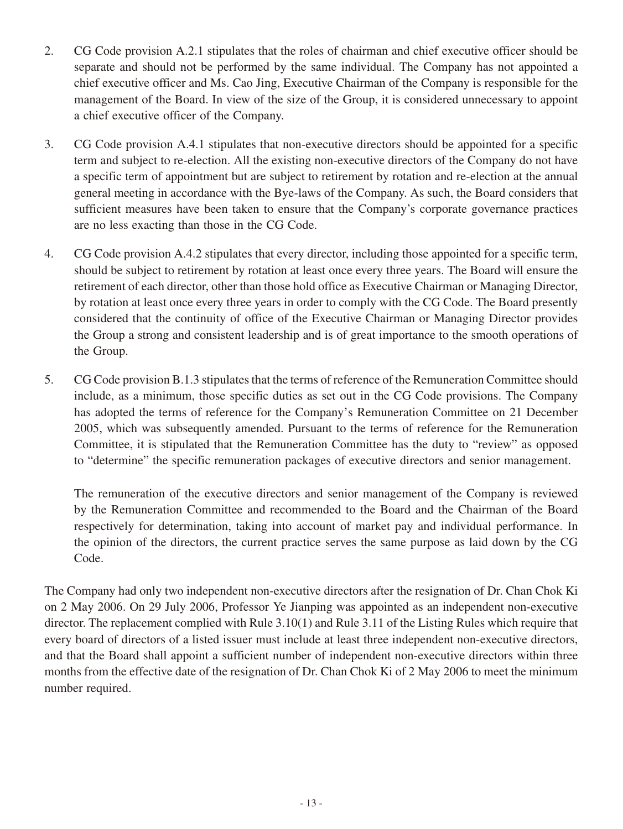- 2. CG Code provision A.2.1 stipulates that the roles of chairman and chief executive officer should be separate and should not be performed by the same individual. The Company has not appointed a chief executive officer and Ms. Cao Jing, Executive Chairman of the Company is responsible for the management of the Board. In view of the size of the Group, it is considered unnecessary to appoint a chief executive officer of the Company.
- 3. CG Code provision A.4.1 stipulates that non-executive directors should be appointed for a specific term and subject to re-election. All the existing non-executive directors of the Company do not have a specific term of appointment but are subject to retirement by rotation and re-election at the annual general meeting in accordance with the Bye-laws of the Company. As such, the Board considers that sufficient measures have been taken to ensure that the Company's corporate governance practices are no less exacting than those in the CG Code.
- 4. CG Code provision A.4.2 stipulates that every director, including those appointed for a specific term, should be subject to retirement by rotation at least once every three years. The Board will ensure the retirement of each director, other than those hold office as Executive Chairman or Managing Director, by rotation at least once every three years in order to comply with the CG Code. The Board presently considered that the continuity of office of the Executive Chairman or Managing Director provides the Group a strong and consistent leadership and is of great importance to the smooth operations of the Group.
- 5. CG Code provision B.1.3 stipulates that the terms of reference of the Remuneration Committee should include, as a minimum, those specific duties as set out in the CG Code provisions. The Company has adopted the terms of reference for the Company's Remuneration Committee on 21 December 2005, which was subsequently amended. Pursuant to the terms of reference for the Remuneration Committee, it is stipulated that the Remuneration Committee has the duty to "review" as opposed to "determine" the specific remuneration packages of executive directors and senior management.

The remuneration of the executive directors and senior management of the Company is reviewed by the Remuneration Committee and recommended to the Board and the Chairman of the Board respectively for determination, taking into account of market pay and individual performance. In the opinion of the directors, the current practice serves the same purpose as laid down by the CG Code.

The Company had only two independent non-executive directors after the resignation of Dr. Chan Chok Ki on 2 May 2006. On 29 July 2006, Professor Ye Jianping was appointed as an independent non-executive director. The replacement complied with Rule 3.10(1) and Rule 3.11 of the Listing Rules which require that every board of directors of a listed issuer must include at least three independent non-executive directors, and that the Board shall appoint a sufficient number of independent non-executive directors within three months from the effective date of the resignation of Dr. Chan Chok Ki of 2 May 2006 to meet the minimum number required.